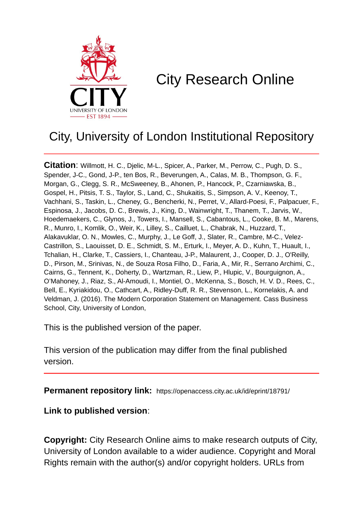

## City Research Online

### City, University of London Institutional Repository

**Citation**: Willmott, H. C., Djelic, M-L., Spicer, A., Parker, M., Perrow, C., Pugh, D. S., Spender, J-C., Gond, J-P., ten Bos, R., Beverungen, A., Calas, M. B., Thompson, G. F., Morgan, G., Clegg, S. R., McSweeney, B., Ahonen, P., Hancock, P., Czarniawska, B., Gospel, H., Pitsis, T. S., Taylor, S., Land, C., Shukaitis, S., Simpson, A. V., Keenoy, T., Vachhani, S., Taskin, L., Cheney, G., Bencherki, N., Perret, V., Allard-Poesi, F., Palpacuer, F., Espinosa, J., Jacobs, D. C., Brewis, J., King, D., Wainwright, T., Thanem, T., Jarvis, W., Hoedemaekers, C., Glynos, J., Towers, I., Mansell, S., Cabantous, L., Cooke, B. M., Marens, R., Munro, I., Komlik, O., Weir, K., Lilley, S., Cailluet, L., Chabrak, N., Huzzard, T., Alakavuklar, O. N., Mowles, C., Murphy, J., Le Goff, J., Slater, R., Cambre, M-C., Velez-Castrillon, S., Laouisset, D. E., Schmidt, S. M., Erturk, I., Meyer, A. D., Kuhn, T., Huault, I., Tchalian, H., Clarke, T., Cassiers, I., Chanteau, J-P., Malaurent, J., Cooper, D. J., O'Reilly, D., Pirson, M., Srinivas, N., de Souza Rosa Filho, D., Faria, A., Mir, R., Serrano Archimi, C., Cairns, G., Tennent, K., Doherty, D., Wartzman, R., Liew, P., Hlupic, V., Bourguignon, A., O'Mahoney, J., Riaz, S., Al-Amoudi, I., Montiel, O., McKenna, S., Bosch, H. V. D., Rees, C., Bell, E., Kyriakidou, O., Cathcart, A., Ridley-Duff, R. R., Stevenson, L., Kornelakis, A. and Veldman, J. (2016). The Modern Corporation Statement on Management. Cass Business School, City, University of London,

This is the published version of the paper.

This version of the publication may differ from the final published version.

**Permanent repository link:** https://openaccess.city.ac.uk/id/eprint/18791/

**Link to published version**:

**Copyright:** City Research Online aims to make research outputs of City, University of London available to a wider audience. Copyright and Moral Rights remain with the author(s) and/or copyright holders. URLs from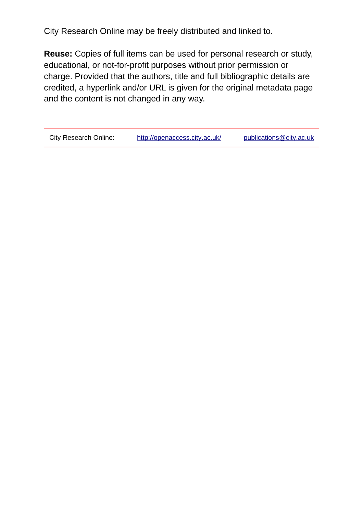City Research Online may be freely distributed and linked to.

**Reuse:** Copies of full items can be used for personal research or study, educational, or not-for-profit purposes without prior permission or charge. Provided that the authors, title and full bibliographic details are credited, a hyperlink and/or URL is given for the original metadata page and the content is not changed in any way.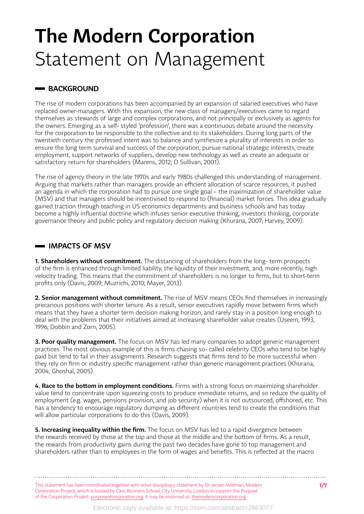# **The Modern Corporation**  Statement on Management

#### **BACKGROUND**

The rise of modern corporations has been accompanied by an expansion of salaried executives who have replaced owner-managers. With this expansion, the new class of managers/executives came to regard themselves as stewards of large and complex corporations, and not principally or exclusively as agents for the owners. Emerging as a self- styled 'profession', there was a continuous debate around the necessity for the corporation to be responsible to the collective and to its stakeholders. During long parts of the twentieth century the professed intent was to balance and synthesize a plurality of interests in order to ensure the long term survival and success of the corporation, pursue national strategic interests, create employment, support networks of suppliers, develop new technology as well as create an adequate or satisfactory return for shareholders (Marens, 2012; O Sullivan, 2001).

The rise of agency theory in the late 1970s and early 1980s challenged this understanding of management. Arguing that markets rather than managers provide an efficient allocation of scarce resources, it pushed an agenda in which the corporation had to pursue one single goal – the maximization of shareholder value (MSV) and that managers should be incentivised to respond to (financial) market forces. This idea gradually gained traction through teaching in US economics departments and business schools and has today become a highly influential doctrine which infuses senior executive thinking, investors thinking, corporate governance theory and public policy and regulatory decision making (Khurana, 2007; Harvey, 2009).

#### **IMPACTS OF MSV**

**1. Shareholders without commitment.** The distancing of shareholders from the long- term prospects of the firm is enhanced through limited liability, the liquidity of their investment, and, more recently, high velocity trading. This means that the commitment of shareholders is no longer to firms, but to short-term profits only (Davis, 2009; Muzrichi, 2010; Mayer, 2013).

**2. Senior management without commitment.** The rise of MSV means CEOs find themselves in increasingly precarious positions with shorter tenure. As a result, senior executives rapidly move between firms which means that they have a shorter term decision making horizon, and rarely stay in a position long enough to deal with the problems that their initiatives aimed at increasing shareholder value creates (Useem, 1993, 1996; Dobbin and Zorn, 2005).

**3. Poor quality management.** The focus on MSV has led many companies to adopt generic management practices. The most obvious example of this is firms chasing so- called celebrity CEOs who tend to be highly paid but tend to fail in their assignments. Research suggests that firms tend to be more successful when they rely on firm or industry specific management rather than generic management practices (Khurana, 2004; Ghoshal, 2005).

**4. Race to the bottom in employment conditions.** Firms with a strong focus on maximizing shareholder value tend to concentrate upon squeezing costs to produce immediate returns, and so reduce the quality of employment (e.g. wages, pensions provision, and job security) when it is not outsourced, offshored, etc. This has a tendency to encourage regulatory dumping as different countries tend to create the conditions that will allow particular corporations to do this (Davis, 2009).

**5. Increasing inequality within the firm.** The focus on MSV has led to a rapid divergence between the rewards received by those at the top and those at the middle and the bottom of firms. As a result, the rewards from productivity gains during the past two decades have gone to top management and shareholders rather than to employees in the form of wages and benefits. This is reflected at the macro

This statement has been coordinated together with other disciplinary statement by Dr. Jeroen Veldman, Modern Corporation Project, which is hosted by Cass Business School, City University, London to support the Purpose of the Corporation Project: [purposeofcorporation.org](http://www.purposeofcorporation.org/en). It may be endorsed at: [themoderncorporation.org](https://themoderncorporation.wordpress.com)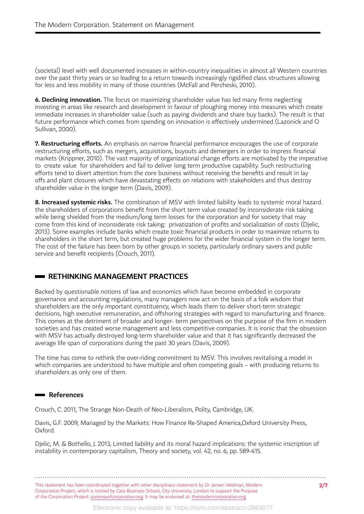(societal) level with well documented increases in within-country inequalities in almost all Western countries over the past thirty years or so leading to a return towards increasingly rigidified class structures allowing for less and less mobility in many of those countries (McFall and Percheski, 2010).

**6. Declining innovation.** The focus on maximizing shareholder value has led many firms neglecting investing in areas like research and development in favour of ploughing money into measures which create immediate increases in shareholder value (such as paying dividends and share buy backs). The result is that future performance which comes from spending on innovation is effectively undermined (Lazonick and O Sullivan, 2000).

**7. Restructuring efforts.** An emphasis on narrow financial performance encourages the use of corporate restructuring efforts, such as mergers, acquisitions, buyouts and demergers in order to impress financial markets (Krippner, 2010). The vast majority of organizational change efforts are motivated by the imperative to create value for shareholders and fail to deliver long term productive capability. Such restructuring efforts tend to divert attention from the core business without receiving the benefits and result in lay offs and plant closures which have devastating effects on relations with stakeholders and thus destroy shareholder value in the longer term (Davis, 2009).

**8. Increased systemic risks.** The combination of MSV with limited liability leads to systemic moral hazard. the shareholders of corporations benefit from the short term value created by inconsiderate risk taking while being shielded from the medium/long term losses for the corporation and for society that may come from this kind of inconsiderate risk taking: privatization of profits and socialization of costs (Djelic, 2013). Some examples include banks which create toxic financial products in order to maximize returns to shareholders in the short term, but created huge problems for the wider financial system in the longer term. The cost of the failure has been born by other groups in society, particularly ordinary savers and public service and benefit recipients (Crouch, 2011).

#### **RETHINKING MANAGEMENT PRACTICES**

Backed by questionable notions of law and economics which have become embedded in corporate governance and accounting regulations, many managers now act on the basis of a folk wisdom that shareholders are the only important constituency, which leads them to deliver short-term strategic decisions, high executive remuneration, and offshoring strategies with regard to manufacturing and finance. This comes at the detriment of broader and longer- term perspectives on the purpose of the firm in modern societies and has created worse management and less competitive companies. It is ironic that the obsession with MSV has actually destroyed long-term shareholder value and that it has significantly decreased the average life span of corporations during the past 30 years (Davis, 2009).

The time has come to rethink the over-riding commitment to MSV. This involves revitalising a model in which companies are understood to have multiple and often competing goals – with producing returns to shareholders as only one of them.

#### **References**

Crouch, C. 2011, The Strange Non-Death of Neo-Liberalism, Polity, Cambridge, UK.

Davis, G.F. 2009, Managed by the Markets: How Finance Re-Shaped America,Oxford University Press, Oxford.

Djelic, M. & Bothello, J. 2013, Limited liability and its moral hazard implications: the systemic inscription of instability in contemporary capitalism, Theory and society, vol. 42, no. 6, pp. 589-615.

This statement has been coordinated together with other disciplinary statement by Dr. Jeroen Veldman, Modern Corporation Project, which is hosted by Cass Business School, City University, London to support the Purpose of the Corporation Project: [purposeofcorporation.org](http://www.purposeofcorporation.org/en). It may be endorsed at: [themoderncorporation.org](https://themoderncorporation.wordpress.com)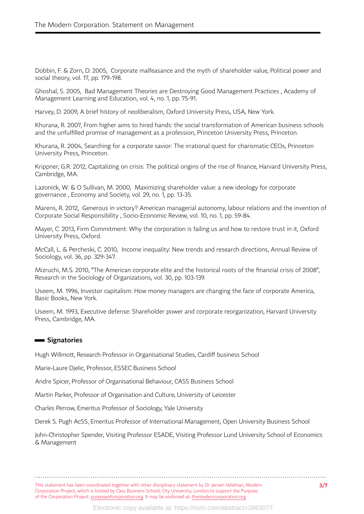Dobbin, F. & Zorn, D. 2005, Corporate malfeasance and the myth of shareholder value, Political power and social theory, vol. 17, pp. 179-198.

Ghoshal, S. 2005, Bad Management Theories are Destroying Good Management Practices , Academy of Management Learning and Education, vol. 4, no. 1, pp. 75-91.

Harvey, D. 2009, A brief history of neoliberalism, Oxford University Press, USA, New York.

Khurana, R. 2007, From higher aims to hired hands: the social transformation of American business schools and the unfulfilled promise of management as a profession, Princeton University Press, Princeton.

Khurana, R. 2004, Searching for a corporate savior: The irrational quest for charismatic CEOs, Princeton University Press, Princeton.

Krippner, G.R. 2012, Capitalizing on crisis: The political origins of the rise of finance, Harvard University Press, Cambridge, MA.

Lazonick, W. & O Sullivan, M. 2000, Maximizing shareholder value: a new ideology for corporate governance , Economy and Society, vol. 29, no. 1, pp. 13-35.

Marens, R. 2012, Generous in victory? American managerial autonomy, labour relations and the invention of Corporate Social Responsibility , Socio-Economic Review, vol. 10, no. 1, pp. 59-84.

Mayer, C. 2013, Firm Commitment: Why the corporation is failing us and how to restore trust in it, Oxford University Press, Oxford.

McCall, L. & Percheski, C. 2010, Income inequality: New trends and research directions, Annual Review of Sociology, vol. 36, pp. 329-347.

Mizruchi, M.S. 2010, "The American corporate elite and the historical roots of the financial crisis of 2008", Research in the Sociology of Organizations, vol. 30, pp. 103-139.

Useem, M. 1996, Investor capitalism: How money managers are changing the face of corporate America, Basic Books, New York.

Useem, M. 1993, Executive defense: Shareholder power and corporate reorganization, Harvard University Press, Cambridge, MA.

#### **Signatories**

Hugh Willmott, Research Professor in Organisational Studies, Cardiff business School

Marie-Laure Djelic, Professor, ESSEC Business School

Andre Spicer, Professor of Organisational Behaviour, CASS Business School

Martin Parker, Professor of Organisation and Culture, University of Leicester

Charles Perrow, Emeritus Professor of Sociology, Yale University

Derek S. Pugh AcSS, Emeritus Professor of International Management, Open University Business School

John-Christopher Spender, Visiting Professor ESADE, Visiting Professor Lund University School of Economics & Management

This statement has been coordinated together with other disciplinary statement by Dr. Jeroen Veldman, Modern Corporation Project, which is hosted by Cass Business School, City University, London to support the Purpose of the Corporation Project: [purposeofcorporation.org](http://www.purposeofcorporation.org/en). It may be endorsed at: [themoderncorporation.org](https://themoderncorporation.wordpress.com)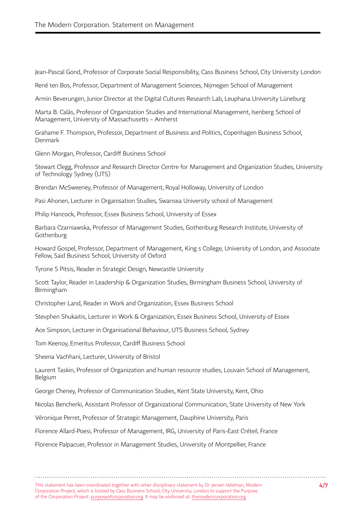Jean-Pascal Gond, Professor of Corporate Social Responsibility, Cass Business School, City University London

René ten Bos, Professor, Department of Management Sciences, Nijmegen School of Management

Armin Beverungen, Junior Director at the Digital Cultures Research Lab, Leuphana University Lüneburg

Marta B. Calás, Professor of Organization Studies and International Management, Isenberg School of Management, University of Massachusetts – Amherst

Grahame F. Thompson, Professor, Department of Business and Politics, Copenhagen Business School, **Denmark** 

Glenn Morgan, Professor, Cardiff Business School

Stewart Clegg, Professor and Research Director Centre for Management and Organization Studies, University of Technology Sydney (UTS)

Brendan McSweeney, Professor of Management, Royal Holloway, University of London

Pasi Ahonen, Lecturer in Organisation Studies, Swansea University school of Management

Philip Hancock, Professor, Essex Business School, University of Essex

Barbara Czarniawska, Professor of Management Studies, Gothenburg Research Institute, University of Gothenburg

Howard Gospel, Professor, Department of Management, King s College, University of London, and Associate Fellow, Said Business School, University of Oxford

Tyrone S Pitsis, Reader in Strategic Design, Newcastle University

Scott Taylor, Reader in Leadership & Organization Studies, Birmingham Business School, University of Birmingham

Christopher Land, Reader in Work and Organization, Essex Business School

Stevphen Shukaitis, Lecturer in Work & Organization, Essex Business School, University of Essex

Ace Simpson, Lecturer in Organisational Behaviour, UTS Business School, Sydney

Tom Keenoy, Emeritus Professor, Cardiff Business School

Sheena Vachhani, Lecturer, University of Bristol

Laurent Taskin, Professor of Organization and human resource studies, Louvain School of Management, Belgium

George Cheney, Professor of Communication Studies, Kent State University, Kent, Ohio

Nicolas Bencherki, Assistant Professor of Organizational Communication, State University of New York

Véronique Perret, Professor of Strategic Management, Dauphine University, Paris

Florence Allard-Poesi, Professor of Management, IRG, University of Paris-East Créteil, France

Florence Palpacuer, Professor in Management Studies, University of Montpellier, France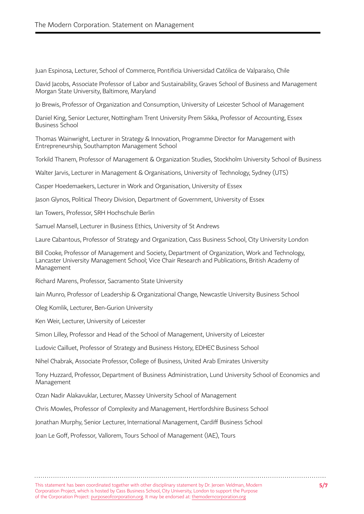Juan Espinosa, Lecturer, School of Commerce, Pontificia Universidad Católica de Valparaíso, Chile

David Jacobs, Associate Professor of Labor and Sustainability, Graves School of Business and Management Morgan State University, Baltimore, Maryland

Jo Brewis, Professor of Organization and Consumption, University of Leicester School of Management

Daniel King, Senior Lecturer, Nottingham Trent University Prem Sikka, Professor of Accounting, Essex Business School

Thomas Wainwright, Lecturer in Strategy & Innovation, Programme Director for Management with Entrepreneurship, Southampton Management School

Torkild Thanem, Professor of Management & Organization Studies, Stockholm University School of Business

Walter Jarvis, Lecturer in Management & Organisations, University of Technology, Sydney (UTS)

Casper Hoedemaekers, Lecturer in Work and Organisation, University of Essex

Jason Glynos, Political Theory Division, Department of Government, University of Essex

Ian Towers, Professor, SRH Hochschule Berlin

Samuel Mansell, Lecturer in Business Ethics, University of St Andrews

Laure Cabantous, Professor of Strategy and Organization, Cass Business School, City University London

Bill Cooke, Professor of Management and Society, Department of Organization, Work and Technology, Lancaster University Management School; Vice Chair Research and Publications, British Academy of Management

Richard Marens, Professor, Sacramento State University

Iain Munro, Professor of Leadership & Organizational Change, Newcastle University Business School

Oleg Komlik, Lecturer, Ben-Gurion University

Ken Weir, Lecturer, University of Leicester

Simon Lilley, Professor and Head of the School of Management, University of Leicester

Ludovic Cailluet, Professor of Strategy and Business History, EDHEC Business School

Nihel Chabrak, Associate Professor, College of Business, United Arab Emirates University

Tony Huzzard, Professor, Department of Business Administration, Lund University School of Economics and Management

Ozan Nadir Alakavuklar, Lecturer, Massey University School of Management

Chris Mowles, Professor of Complexity and Management, Hertfordshire Business School

Jonathan Murphy, Senior Lecturer, International Management, Cardiff Business School

Joan Le Goff, Professor, Vallorem, Tours School of Management (IAE), Tours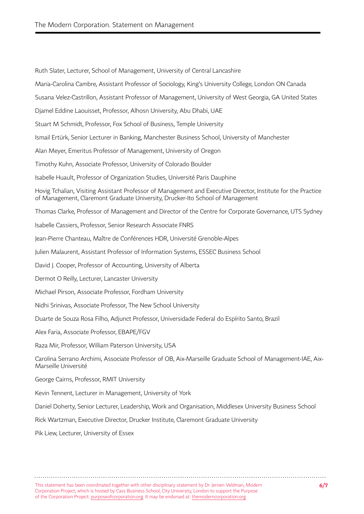Ruth Slater, Lecturer, School of Management, University of Central Lancashire Maria-Carolina Cambre, Assistant Professor of Sociology, King's University College, London ON Canada Susana Velez-Castrillon, Assistant Professor of Management, University of West Georgia, GA United States Djamel Eddine Laouisset, Professor, Alhosn University, Abu Dhabi, UAE Stuart M Schmidt, Professor, Fox School of Business, Temple University Ismail Ertürk, Senior Lecturer in Banking, Manchester Business School, University of Manchester Alan Meyer, Emeritus Professor of Management, University of Oregon Timothy Kuhn, Associate Professor, University of Colorado Boulder Isabelle Huault, Professor of Organization Studies, Université Paris Dauphine Hovig Tchalian, Visiting Assistant Professor of Management and Executive Director, Institute for the Practice of Management, Claremont Graduate University, Drucker-Ito School of Management Thomas Clarke, Professor of Management and Director of the Centre for Corporate Governance, UTS Sydney Isabelle Cassiers, Professor, Senior Research Associate FNRS Jean-Pierre Chanteau, Maître de Conférences HDR, Université Grenoble-Alpes Julien Malaurent, Assistant Professor of Information Systems, ESSEC Business School David J. Cooper, Professor of Accounting, University of Alberta Dermot O Reilly, Lecturer, Lancaster University Michael Pirson, Associate Professor, Fordham University Nidhi Srinivas, Associate Professor, The New School University Duarte de Souza Rosa Filho, Adjunct Professor, Universidade Federal do Espírito Santo, Brazil Alex Faria, Associate Professor, EBAPE/FGV Raza Mir, Professor, William Paterson University, USA Carolina Serrano Archimi, Associate Professor of OB, Aix-Marseille Graduate School of Management-IAE, Aix-Marseille Université George Cairns, Professor, RMIT University Kevin Tennent, Lecturer in Management, University of York Daniel Doherty, Senior Lecturer, Leadership, Work and Organisation, Middlesex University Business School Rick Wartzman, Executive Director, Drucker Institute, Claremont Graduate University Pik Liew, Lecturer, University of Essex